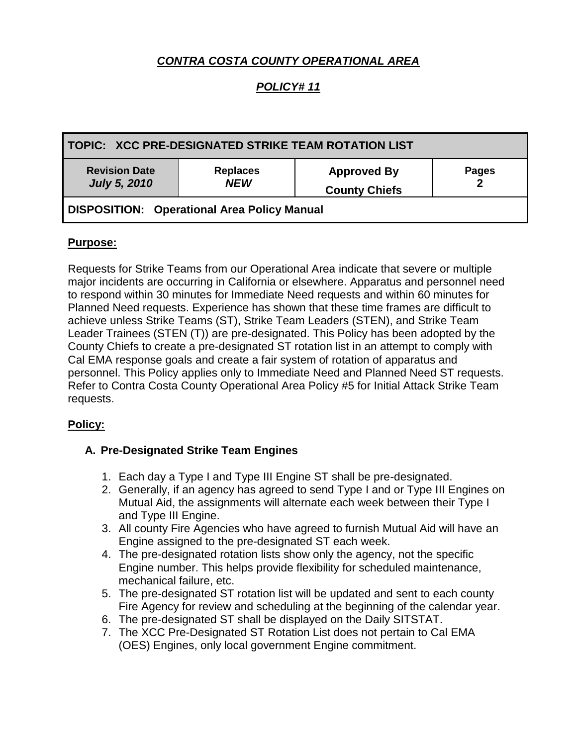# *CONTRA COSTA COUNTY OPERATIONAL AREA*

## *POLICY# 11*

| TOPIC:   XCC PRE-DESIGNATED STRIKE TEAM ROTATION LIST |                               |                                            |              |
|-------------------------------------------------------|-------------------------------|--------------------------------------------|--------------|
| <b>Revision Date</b><br><b>July 5, 2010</b>           | <b>Replaces</b><br><b>NEW</b> | <b>Approved By</b><br><b>County Chiefs</b> | <b>Pages</b> |
| DISPOSITION: Operational Area Policy Manual           |                               |                                            |              |

#### **Purpose:**

Requests for Strike Teams from our Operational Area indicate that severe or multiple major incidents are occurring in California or elsewhere. Apparatus and personnel need to respond within 30 minutes for Immediate Need requests and within 60 minutes for Planned Need requests. Experience has shown that these time frames are difficult to achieve unless Strike Teams (ST), Strike Team Leaders (STEN), and Strike Team Leader Trainees (STEN (T)) are pre-designated. This Policy has been adopted by the County Chiefs to create a pre-designated ST rotation list in an attempt to comply with Cal EMA response goals and create a fair system of rotation of apparatus and personnel. This Policy applies only to Immediate Need and Planned Need ST requests. Refer to Contra Costa County Operational Area Policy #5 for Initial Attack Strike Team requests.

#### **Policy:**

#### **A. Pre-Designated Strike Team Engines**

- 1. Each day a Type I and Type III Engine ST shall be pre-designated.
- 2. Generally, if an agency has agreed to send Type I and or Type III Engines on Mutual Aid, the assignments will alternate each week between their Type I and Type III Engine.
- 3. All county Fire Agencies who have agreed to furnish Mutual Aid will have an Engine assigned to the pre-designated ST each week.
- 4. The pre-designated rotation lists show only the agency, not the specific Engine number. This helps provide flexibility for scheduled maintenance, mechanical failure, etc.
- 5. The pre-designated ST rotation list will be updated and sent to each county Fire Agency for review and scheduling at the beginning of the calendar year.
- 6. The pre-designated ST shall be displayed on the Daily SITSTAT.
- 7. The XCC Pre-Designated ST Rotation List does not pertain to Cal EMA (OES) Engines, only local government Engine commitment.